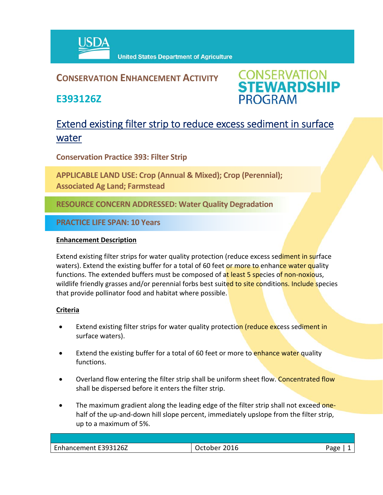

### **CONSERVATION ENHANCEMENT ACTIVITY**

**E393126Z**

**CONSERVATION<br>STEWARDSHIP PROGRAM** 

## Extend existing filter strip to reduce excess sediment in surface water

**Conservation Practice 393: Filter Strip**

**APPLICABLE LAND USE: Crop (Annual & Mixed); Crop (Perennial); Associated Ag Land; Farmstead**

**RESOURCE CONCERN ADDRESSED: Water Quality Degradation**

**PRACTICE LIFE SPAN: 10 Years**

#### **Enhancement Description**

Extend existing filter strips for water quality protection (reduce excess sediment in surface waters). Extend the existing buffer for a total of 60 feet or more to enhance water quality functions. The extended buffers must be composed of at least 5 species of non-noxious, wildlife friendly grasses and/or perennial forbs best suited to site conditions. Include species that provide pollinator food and habitat where possible.

#### **Criteria**

- Extend existing filter strips for water quality protection (reduce excess sediment in surface waters).
- Extend the existing buffer for a total of 60 feet or more to enhance water quality functions.
- Overland flow entering the filter strip shall be uniform sheet flow. Concentrated flow shall be dispersed before it enters the filter strip.
- The maximum gradient along the leading edge of the filter strip shall not exceed onehalf of the up-and-down hill slope percent, immediately upslope from the filter strip, up to a maximum of 5%.

| Enhancement E393126Z | 2016<br>nher. | Aמגי |
|----------------------|---------------|------|
|                      |               |      |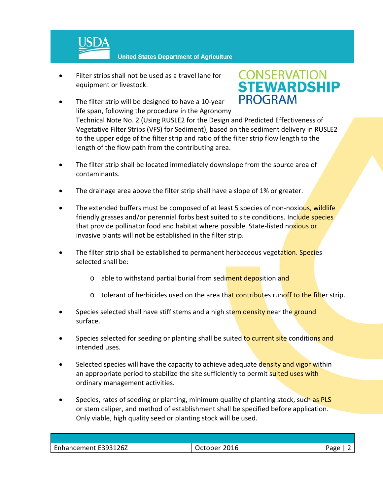

- Filter strips shall not be used as a travel lane for equipment or livestock.
- The filter strip will be designed to have a 10‐year life span, following the procedure in the Agronomy



Technical Note No. 2 (Using RUSLE2 for the Design and Predicted Effectiveness of Vegetative Filter Strips (VFS) for Sediment), based on the sediment delivery in RUSLE2 to the upper edge of the filter strip and ratio of the filter strip flow length to the length of the flow path from the contributing area.

- The filter strip shall be located immediately downslope from the source area of contaminants.
- The drainage area above the filter strip shall have a slope of 1% or greater.
- The extended buffers must be composed of at least 5 species of non-noxious, wildlife friendly grasses and/or perennial forbs best suited to site conditions. Include species that provide pollinator food and habitat where possible. State-listed noxious or invasive plants will not be established in the filter strip.
- The filter strip shall be established to permanent herbaceous vegetation. Species selected shall be:
	- o able to withstand partial burial from sediment deposition and
	- $\circ$  tolerant of herbicides used on the area that contributes runoff to the filter strip.
- Species selected shall have stiff stems and a high stem density near the ground surface.
- Species selected for seeding or planting shall be suited to current site conditions and intended uses.
- Selected species will have the capacity to achieve adequate density and vigor within an appropriate period to stabilize the site sufficiently to permit suited uses with ordinary management activities.
- Species, rates of seeding or planting, minimum quality of planting stock, such as PLS or stem caliper, and method of establishment shall be specified before application. Only viable, high quality seed or planting stock will be used.

| Enhancement E393126Z<br>$\sim$ |              |
|--------------------------------|--------------|
| 2016                           | - המבי<br>ີ⊂ |